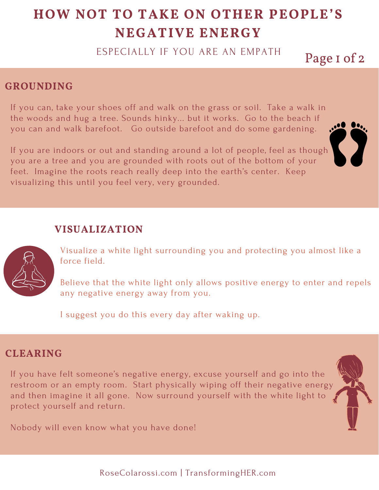# **HOW NOT TO TAKE ON OTHER PEOPLE'S NEGATIVE ENERGY**

ESPECIALLY IF YOU ARE AN EMPATH

Page 1 of 2

### **GROUNDING**

If you can, take your shoes off and walk on the grass or soil. Take a walk in the woods and hug a tree. Sounds hinky... but it works. Go to the beach if you can and walk barefoot. Go outside barefoot and do some gardening.

If you are indoors or out and standing around a lot of people, feel as though you are a tree and you are grounded with roots out of the bottom of your feet. Imagine the roots reach really deep into the earth's center. Keep visualizing this until you feel very, very grounded.

#### **VISUALIZATION**



Visualize a white light surrounding you and protecting you almost like a force field.

Believe that the white light only allows positive energy to enter and repels any negative energy away from you.

I suggest you do this every day after waking up.

#### **CLEARING**

If you have felt someone's negative energy, excuse yourself and go into the restroom or an empty room. Start physically wiping off their negative energy and then imagine it all gone. Now surround yourself with the white light to protect yourself and return.

Nobody will even know what you have done!